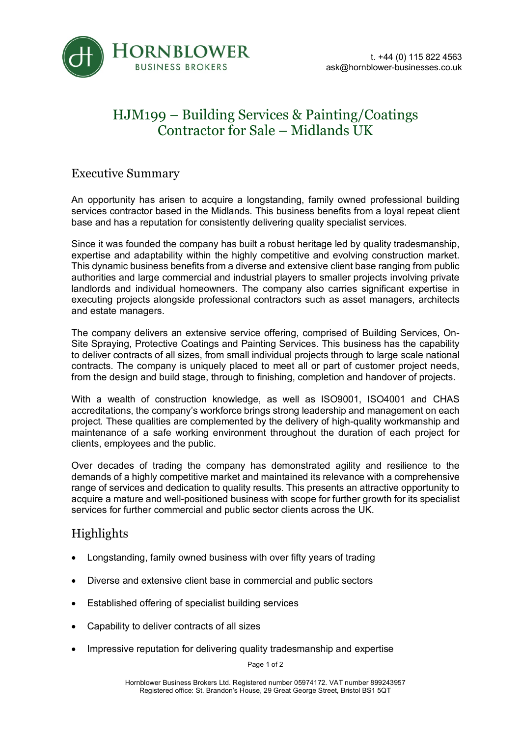

## HJM199 – Building Services & Painting/Coatings Contractor for Sale – Midlands UK

#### Executive Summary

An opportunity has arisen to acquire a longstanding, family owned professional building services contractor based in the Midlands. This business benefits from a loyal repeat client base and has a reputation for consistently delivering quality specialist services.

Since it was founded the company has built a robust heritage led by quality tradesmanship, expertise and adaptability within the highly competitive and evolving construction market. This dynamic business benefits from a diverse and extensive client base ranging from public authorities and large commercial and industrial players to smaller projects involving private landlords and individual homeowners. The company also carries significant expertise in executing projects alongside professional contractors such as asset managers, architects and estate managers.

The company delivers an extensive service offering, comprised of Building Services, On-Site Spraying, Protective Coatings and Painting Services. This business has the capability to deliver contracts of all sizes, from small individual projects through to large scale national contracts. The company is uniquely placed to meet all or part of customer project needs, from the design and build stage, through to finishing, completion and handover of projects.

With a wealth of construction knowledge, as well as ISO9001, ISO4001 and CHAS accreditations, the company's workforce brings strong leadership and management on each project. These qualities are complemented by the delivery of high-quality workmanship and maintenance of a safe working environment throughout the duration of each project for clients, employees and the public.

Over decades of trading the company has demonstrated agility and resilience to the demands of a highly competitive market and maintained its relevance with a comprehensive range of services and dedication to quality results. This presents an attractive opportunity to acquire a mature and well-positioned business with scope for further growth for its specialist services for further commercial and public sector clients across the UK.

## Highlights

- Longstanding, family owned business with over fifty years of trading
- Diverse and extensive client base in commercial and public sectors
- Established offering of specialist building services
- Capability to deliver contracts of all sizes
- Impressive reputation for delivering quality tradesmanship and expertise

Page 1 of 2